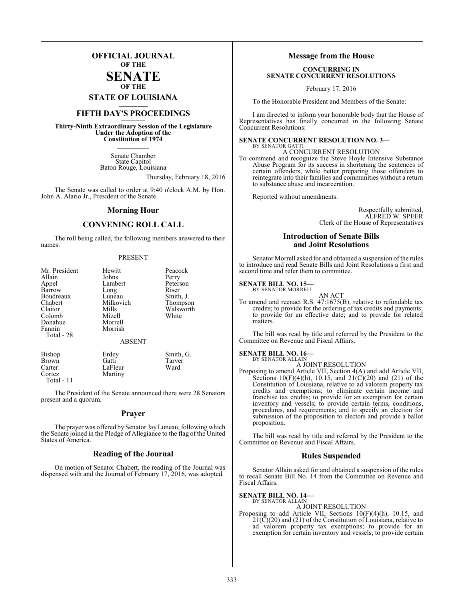## **OFFICIAL JOURNAL OF THE**

## **SENATE OF THE**

**STATE OF LOUISIANA \_\_\_\_\_\_\_**

# **FIFTH DAY'S PROCEEDINGS \_\_\_\_\_\_\_**

**Thirty-Ninth Extraordinary Session of the Legislature Under the Adoption of the Constitution of 1974 \_\_\_\_\_\_\_**

> Senate Chamber State Capitol Baton Rouge, Louisiana

> > Thursday, February 18, 2016

The Senate was called to order at 9:40 o'clock A.M. by Hon. John A. Alario Jr., President of the Senate.

### **Morning Hour**

## **CONVENING ROLL CALL**

The roll being called, the following members answered to their names:

### PRESENT

| Mr. President<br>Allain<br>Appel<br>Barrow<br>Boudreaux<br>Chabert<br>Claitor<br>Colomb<br>Donahue<br>Fannin<br>Total - 28 | Hewitt<br>Johns<br>Lambert<br>Long<br>Luneau<br>Milkovich<br>Mills<br>Mizell<br>Morrell<br>Morrish<br><b>ABSENT</b> | Peacock<br>Perry<br>Peterson<br>Riser<br>Smith, J.<br>Thompson<br>Walsworth<br>White |
|----------------------------------------------------------------------------------------------------------------------------|---------------------------------------------------------------------------------------------------------------------|--------------------------------------------------------------------------------------|
| Bishop                                                                                                                     | Erdey                                                                                                               | Smith, G.                                                                            |
| <b>Brown</b>                                                                                                               | Gatti                                                                                                               | Tarver                                                                               |
| Carter                                                                                                                     | LaFleur                                                                                                             | Ward                                                                                 |

Cortez Martiny

Total - 11

The President of the Senate announced there were 28 Senators present and a quorum.

### **Prayer**

The prayer was offered by Senator Jay Luneau, following which the Senate joined in the Pledge of Allegiance to the flag of the United States of America.

## **Reading of the Journal**

On motion of Senator Chabert, the reading of the Journal was dispensed with and the Journal of February 17, 2016, was adopted.

## **Message from the House**

### **CONCURRING IN SENATE CONCURRENT RESOLUTIONS**

February 17, 2016

To the Honorable President and Members of the Senate:

I am directed to inform your honorable body that the House of Representatives has finally concurred in the following Senate Concurrent Resolutions:

### **SENATE CONCURRENT RESOLUTION NO. 3—** BY SENATOR GATTI

A CONCURRENT RESOLUTION

To commend and recognize the Steve Hoyle Intensive Substance Abuse Program for its success in shortening the sentences of certain offenders, while better preparing those offenders to reintegrate into their families and communities without a return to substance abuse and incarceration.

Reported without amendments.

Respectfully submitted, ALFRED W. SPEER Clerk of the House of Representatives

## **Introduction of Senate Bills and Joint Resolutions**

Senator Morrell asked for and obtained a suspension of the rules to introduce and read Senate Bills and Joint Resolutions a first and second time and refer them to committee.

### **SENATE BILL NO. 15—** BY SENATOR MORRELL

AN ACT

To amend and reenact R.S. 47:1675(B), relative to refundable tax credits; to provide for the ordering of tax credits and payments; to provide for an effective date; and to provide for related matters.

The bill was read by title and referred by the President to the Committee on Revenue and Fiscal Affairs.

### **SENATE BILL NO. 16—** BY SENATOR ALLAIN

A JOINT RESOLUTION

Proposing to amend Article VII, Section 4(A) and add Article VII, Sections 10(F)(4)(h), 10.15, and 21( $\dot{C}$ )(20) and (21) of the Constitution of Louisiana, relative to ad valorem property tax credits and exemptions; to eliminate certain income and franchise tax credits; to provide for an exemption for certain inventory and vessels; to provide certain terms, conditions, procedures, and requirements; and to specify an election for submission of the proposition to electors and provide a ballot proposition.

The bill was read by title and referred by the President to the Committee on Revenue and Fiscal Affairs.

### **Rules Suspended**

Senator Allain asked for and obtained a suspension of the rules to recall Senate Bill No. 14 from the Committee on Revenue and Fiscal Affairs.

### **SENATE BILL NO. 14—**

BY SENATOR ALLAIN

A JOINT RESOLUTION Proposing to add Article VII, Sections 10(F)(4)(h), 10.15, and  $21(\overline{C})(20)$  and (21) of the Constitution of Louisiana, relative to ad valorem property tax exemptions; to provide for an exemption for certain inventory and vessels; to provide certain